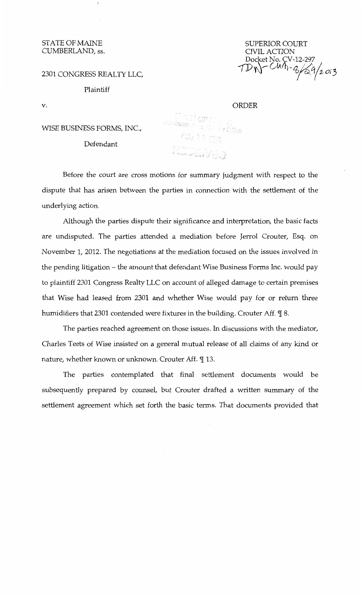## STATE OF MAINE CUMBERLAND, ss.

2301 CONGRESS REALTY LLC,

Plaintiff

v.

SUPERIOR COURT CIVIL ACTION Docket No. CV-12-297 www.a*illong*;

ORDER

WISE BUSINESS FORMS, INC.,

Defendant

Before the court are cross motions for summary judgment with respect to the dispute that has arisen between the parties in connection with the settlement of the underlying action.

Although the parties dispute their significance and interpretation, the basic facts are undisputed. The parties attended a mediation before Jerrol Crouter, Esq. on November 1, 2012. The negotiations at the mediation focused on the issues involved in the pending litigation – the amount that defendant Wise Business Forms Inc. would pay to plaintiff 2301 Congress Realty LLC on account of alleged damage to certain premises that Wise had leased from 2301 and whether Wise would pay for or return three humidifiers that 2301 contended were fixtures in the building. Crouter Aff.  $\mathcal{I}$  8.

The parties reached agreement on those issues. In discussions with the mediator, Charles Teets of Wise insisted on a general mutual release of all claims of any kind or nature, whether known or unknown. Crouter Aff. ¶ 13.

The parties contemplated that final settlement documents would be subsequently prepared by counsel, but Crouter drafted a written summary of the settlement agreement which set forth the basic terms. That documents provided that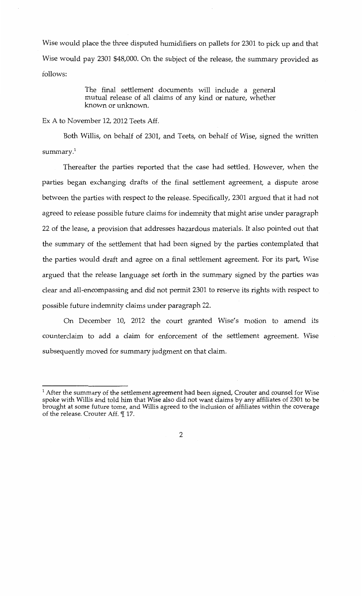Wise would place the three disputed humidifiers on pallets for 2301 to pick up and that Wise would pay 2301 \$48,000. On the subject of the release, the summary provided as follows:

> The final settlement documents will include a general mutual release of all claims of any kind or nature, whether known or unknown.

Ex A to November 12, 2012 Teets Aff.

Both Willis, on behalf of 2301, and Teets, on behalf of Wise, signed the written summary.<sup>1</sup>

Thereafter the parties reported that the case had settled. However, when the parties began exchanging drafts of the final settlement agreement, a dispute arose between the parties with respect to the release. Specifically, 2301 argued that it had not agreed to release possible future claims for indemnity that might arise under paragraph 22 of the lease, a provision that addresses hazardous materials. It also pointed out that the summary of the settlement that had been signed by the parties contemplated that the parties would draft and agree on a final settlement agreement. For its part, Wise argued that the release language set forth in the summary signed by the parties was clear and all-encompassing and did not permit 2301 to reserve its rights with respect to possible future indemnity claims under paragraph 22.

On December 10, 2012 the court granted Wise's motion to amend its counterclaim to add a claim for enforcement of the settlement agreement. Wise subsequently moved for summary judgment on that claim.

 $<sup>1</sup>$  After the summary of the settlement agreement had been signed, Crouter and counsel for Wise</sup> spoke with Willis and told him that Wise also did not want claims by any affiliates of 2301 to be brought at some future tome, and Willis agreed to the inclusion of affiliates within the coverage of the release. Crouter Aff.  $\P$  17.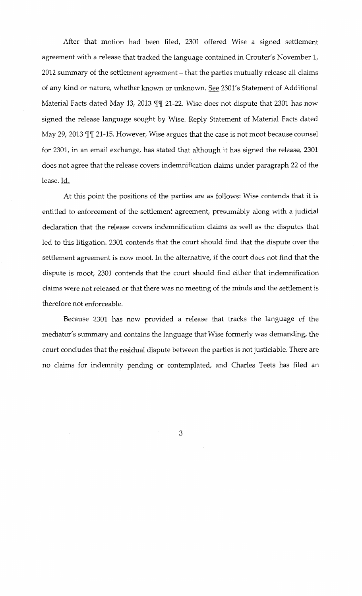After that motion had been filed, 2301 offered Wise a signed settlement agreement with a release that tracked the language contained in Crouter's November 1, 2012 summary of the settlement agreement- that the parties mutually release all claims of any kind or nature, whether known or unknown. See 2301's Statement of Additional Material Facts dated May 13, 2013  $\P\P$  21-22. Wise does not dispute that 2301 has now signed the release language sought by Wise. Reply Statement of Material Facts dated May 29, 2013  $\mathbb{T}$  21-15. However, Wise argues that the case is not moot because counsel for 2301, in an email exchange, has stated that although it has signed the release, 2301 does not agree that the release covers indemnification claims under paragraph 22 of the lease. Id.

At this point the positions of the parties are as follows: Wise contends that it is entitled to enforcement of the settlement agreement, presumably along with a judicial declaration that the release covers indemnification claims as well as the disputes that led to this litigation. 2301 contends that the court should find that the dispute over the settlement agreement is now moot. In the alternative, if the court does not find that the dispute is moot, 2301 contends that the court should find either that indemnification claims were not released or that there was no meeting of the minds and the settlement is therefore not enforceable.

Because 2301 has now provided a release that tracks the language of the mediator's summary and contains the language that Wise formerly was demanding, the court concludes that the residual dispute between the parties is not justiciable. There are no claims for indemnity pending or contemplated, and Charles Teets has filed an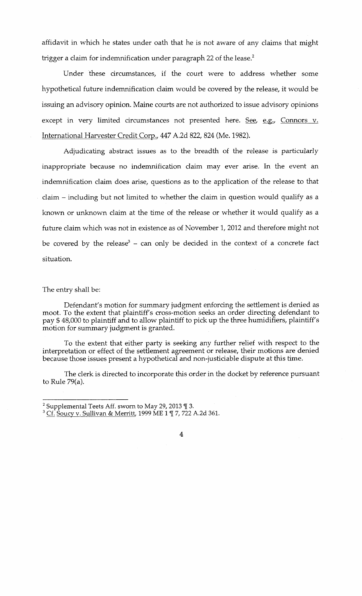affidavit in which he states under oath that he is not aware of any claims that might trigger a claim for indemnification under paragraph 22 of the lease.<sup>2</sup>

Under these circumstances, if the court were to address whether some hypothetical future indemnification claim would be covered by the release, it would be issuing an advisory opinion. Maine courts are not authorized to issue advisory opinions except in very limited circumstances not presented here. See,  $e.g.,$  Connors v. International Harvester Credit Corp., 447 A.2d 822, 824 (Me. 1982).

Adjudicating abstract issues as to the breadth of the release is particularly inappropriate because no indemnification claim may ever arise. In the event an indemnification claim does arise, questions as to the application of the release to that claim- including but not limited to whether the claim in question would qualify as a known or unknown claim at the time of the release or whether it would qualify as a future claim which was not in existence as of November 1, 2012 and therefore might not be covered by the release<sup>3</sup> – can only be decided in the context of a concrete fact situation.

## The entry shall be:

Defendant's motion for summary judgment enforcing the settlement is denied as moot. To the extent that plaintiff's cross-motion seeks an order directing defendant to pay \$ 48,000 to plaintiff and to allow plaintiff to pick up the three humidifiers, plaintiff's motion for summary judgment is granted.

To the extent that either party is seeking any further relief with respect to the interpretation or effect of the settlement agreement or release, their motions are denied because those issues present a hypothetical and non-justiciable dispute at this time.

The clerk is directed to incorporate this order in the docket by reference pursuant to Rule 79(a).

<sup>&</sup>lt;sup>2</sup> Supplemental Teets Aff. sworn to May 29, 2013  $\P$  3.<br><sup>3</sup> Cf. So<u>ucy v. Sullivan & Merritt</u>, 1999 ME 1  $\P$  7, 722 A.2d 361.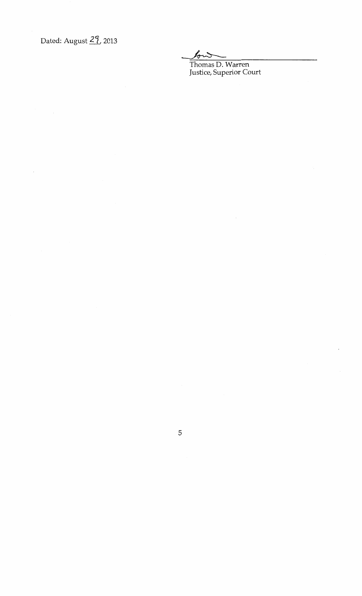Dated: August *21,* 2013

~ Thomas D. Warren

Justice, Superior Court